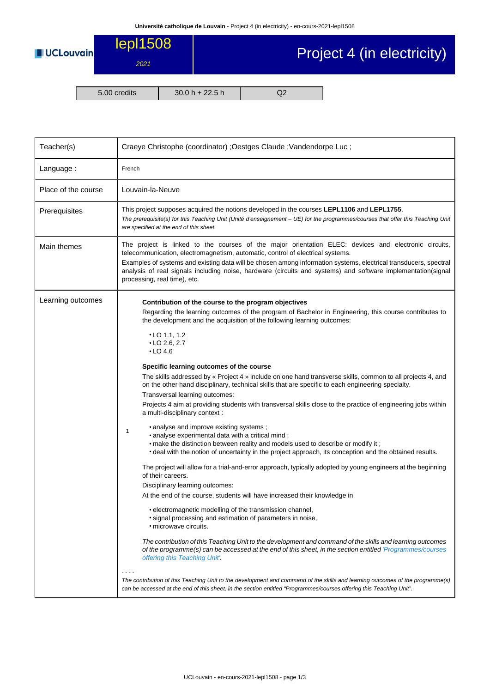

## Project 4 (in electricity)

5.00 credits 30.0 h + 22.5 h Q2

| Louvain-la-Neuve<br>This project supposes acquired the notions developed in the courses LEPL1106 and LEPL1755.<br>The prerequisite(s) for this Teaching Unit (Unité d'enseignement - UE) for the programmes/courses that offer this Teaching Unit<br>are specified at the end of this sheet.                                                                                                                                                                                                                                                                                                                                                                                                                                                                                                                                                                                                                                                                                                                                                                                                                                                                                                                                                                                                                                                                                                                                                                                                                                                                                                                                                                                                                                                                                                                                                                                                                                                                                           |  |  |  |  |
|----------------------------------------------------------------------------------------------------------------------------------------------------------------------------------------------------------------------------------------------------------------------------------------------------------------------------------------------------------------------------------------------------------------------------------------------------------------------------------------------------------------------------------------------------------------------------------------------------------------------------------------------------------------------------------------------------------------------------------------------------------------------------------------------------------------------------------------------------------------------------------------------------------------------------------------------------------------------------------------------------------------------------------------------------------------------------------------------------------------------------------------------------------------------------------------------------------------------------------------------------------------------------------------------------------------------------------------------------------------------------------------------------------------------------------------------------------------------------------------------------------------------------------------------------------------------------------------------------------------------------------------------------------------------------------------------------------------------------------------------------------------------------------------------------------------------------------------------------------------------------------------------------------------------------------------------------------------------------------------|--|--|--|--|
|                                                                                                                                                                                                                                                                                                                                                                                                                                                                                                                                                                                                                                                                                                                                                                                                                                                                                                                                                                                                                                                                                                                                                                                                                                                                                                                                                                                                                                                                                                                                                                                                                                                                                                                                                                                                                                                                                                                                                                                        |  |  |  |  |
|                                                                                                                                                                                                                                                                                                                                                                                                                                                                                                                                                                                                                                                                                                                                                                                                                                                                                                                                                                                                                                                                                                                                                                                                                                                                                                                                                                                                                                                                                                                                                                                                                                                                                                                                                                                                                                                                                                                                                                                        |  |  |  |  |
|                                                                                                                                                                                                                                                                                                                                                                                                                                                                                                                                                                                                                                                                                                                                                                                                                                                                                                                                                                                                                                                                                                                                                                                                                                                                                                                                                                                                                                                                                                                                                                                                                                                                                                                                                                                                                                                                                                                                                                                        |  |  |  |  |
| The project is linked to the courses of the major orientation ELEC: devices and electronic circuits,<br>telecommunication, electromagnetism, automatic, control of electrical systems.<br>Examples of systems and existing data will be chosen among information systems, electrical transducers, spectral<br>analysis of real signals including noise, hardware (circuits and systems) and software implementation(signal<br>processing, real time), etc.                                                                                                                                                                                                                                                                                                                                                                                                                                                                                                                                                                                                                                                                                                                                                                                                                                                                                                                                                                                                                                                                                                                                                                                                                                                                                                                                                                                                                                                                                                                             |  |  |  |  |
| Contribution of the course to the program objectives<br>Regarding the learning outcomes of the program of Bachelor in Engineering, this course contributes to<br>the development and the acquisition of the following learning outcomes:<br>$\cdot$ LO 1.1, 1.2<br>$\cdot$ LO 2.6, 2.7<br>$\cdot$ LO 4.6<br>Specific learning outcomes of the course<br>The skills addressed by « Project 4 » include on one hand transverse skills, common to all projects 4, and<br>on the other hand disciplinary, technical skills that are specific to each engineering specialty.<br>Transversal learning outcomes:<br>Projects 4 aim at providing students with transversal skills close to the practice of engineering jobs within<br>a multi-disciplinary context :<br>• analyse and improve existing systems;<br>• analyse experimental data with a critical mind;<br>• make the distinction between reality and models used to describe or modify it;<br>• deal with the notion of uncertainty in the project approach, its conception and the obtained results.<br>The project will allow for a trial-and-error approach, typically adopted by young engineers at the beginning<br>of their careers.<br>Disciplinary learning outcomes:<br>At the end of the course, students will have increased their knowledge in<br>• electromagnetic modelling of the transmission channel,<br>• signal processing and estimation of parameters in noise,<br>• microwave circuits.<br>The contribution of this Teaching Unit to the development and command of the skills and learning outcomes<br>of the programme(s) can be accessed at the end of this sheet, in the section entitled 'Programmes/courses<br>offering this Teaching Unit'.<br>The contribution of this Teaching Unit to the development and command of the skills and learning outcomes of the programme(s)<br>can be accessed at the end of this sheet, in the section entitled "Programmes/courses offering this Teaching Unit". |  |  |  |  |
|                                                                                                                                                                                                                                                                                                                                                                                                                                                                                                                                                                                                                                                                                                                                                                                                                                                                                                                                                                                                                                                                                                                                                                                                                                                                                                                                                                                                                                                                                                                                                                                                                                                                                                                                                                                                                                                                                                                                                                                        |  |  |  |  |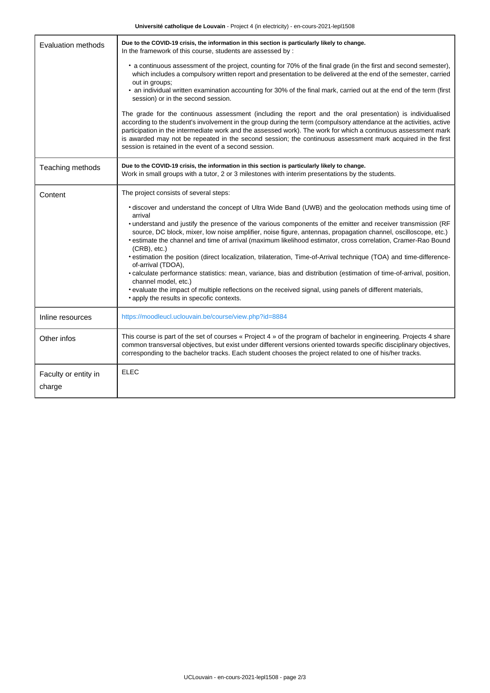| <b>Evaluation methods</b>      | Due to the COVID-19 crisis, the information in this section is particularly likely to change.<br>In the framework of this course, students are assessed by:                                                                                                                                                                                                                                                                                                                                                                 |  |  |  |  |
|--------------------------------|-----------------------------------------------------------------------------------------------------------------------------------------------------------------------------------------------------------------------------------------------------------------------------------------------------------------------------------------------------------------------------------------------------------------------------------------------------------------------------------------------------------------------------|--|--|--|--|
|                                | • a continuous assessment of the project, counting for 70% of the final grade (in the first and second semester),<br>which includes a compulsory written report and presentation to be delivered at the end of the semester, carried<br>out in groups;                                                                                                                                                                                                                                                                      |  |  |  |  |
|                                | • an individual written examination accounting for 30% of the final mark, carried out at the end of the term (first<br>session) or in the second session.                                                                                                                                                                                                                                                                                                                                                                   |  |  |  |  |
|                                | The grade for the continuous assessment (including the report and the oral presentation) is individualised<br>according to the student's involvement in the group during the term (compulsory attendance at the activities, active<br>participation in the intermediate work and the assessed work). The work for which a continuous assessment mark<br>is awarded may not be repeated in the second session; the continuous assessment mark acquired in the first<br>session is retained in the event of a second session. |  |  |  |  |
| Teaching methods               | Due to the COVID-19 crisis, the information in this section is particularly likely to change.<br>Work in small groups with a tutor, 2 or 3 milestones with interim presentations by the students.                                                                                                                                                                                                                                                                                                                           |  |  |  |  |
| Content                        | The project consists of several steps:                                                                                                                                                                                                                                                                                                                                                                                                                                                                                      |  |  |  |  |
|                                | • discover and understand the concept of Ultra Wide Band (UWB) and the geolocation methods using time of<br>arrival                                                                                                                                                                                                                                                                                                                                                                                                         |  |  |  |  |
|                                | . understand and justify the presence of the various components of the emitter and receiver transmission (RF<br>source, DC block, mixer, low noise amplifier, noise figure, antennas, propagation channel, oscilloscope, etc.)<br>• estimate the channel and time of arrival (maximum likelihood estimator, cross correlation, Cramer-Rao Bound<br>$(CRB)$ , etc.)                                                                                                                                                          |  |  |  |  |
|                                | • estimation the position (direct localization, trilateration, Time-of-Arrival technique (TOA) and time-difference-<br>of-arrival (TDOA),                                                                                                                                                                                                                                                                                                                                                                                   |  |  |  |  |
|                                | · calculate performance statistics: mean, variance, bias and distribution (estimation of time-of-arrival, position,<br>channel model, etc.)                                                                                                                                                                                                                                                                                                                                                                                 |  |  |  |  |
|                                | • evaluate the impact of multiple reflections on the received signal, using panels of different materials,<br>• apply the results in specofic contexts.                                                                                                                                                                                                                                                                                                                                                                     |  |  |  |  |
| Inline resources               | https://moodleucl.uclouvain.be/course/view.php?id=8884                                                                                                                                                                                                                                                                                                                                                                                                                                                                      |  |  |  |  |
| Other infos                    | This course is part of the set of courses « Project 4 » of the program of bachelor in engineering. Projects 4 share<br>common transversal objectives, but exist under different versions oriented towards specific disciplinary objectives,<br>corresponding to the bachelor tracks. Each student chooses the project related to one of his/her tracks.                                                                                                                                                                     |  |  |  |  |
| Faculty or entity in<br>charge | <b>ELEC</b>                                                                                                                                                                                                                                                                                                                                                                                                                                                                                                                 |  |  |  |  |